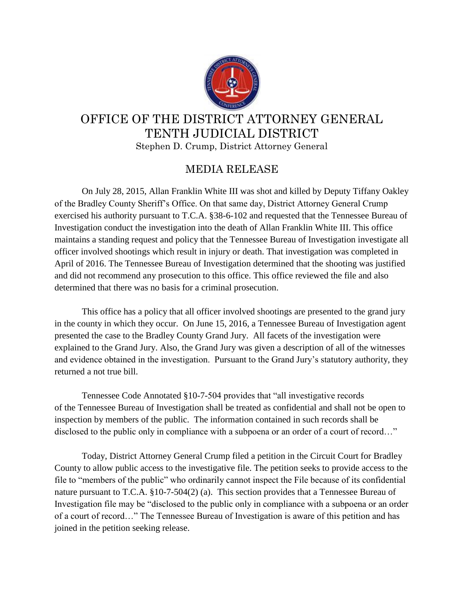

## OFFICE OF THE DISTRICT ATTORNEY GENERAL TENTH JUDICIAL DISTRICT Stephen D. Crump, District Attorney General

## MEDIA RELEASE

On July 28, 2015, Allan Franklin White III was shot and killed by Deputy Tiffany Oakley of the Bradley County Sheriff's Office. On that same day, District Attorney General Crump exercised his authority pursuant to T.C.A. §38-6-102 and requested that the Tennessee Bureau of Investigation conduct the investigation into the death of Allan Franklin White III. This office maintains a standing request and policy that the Tennessee Bureau of Investigation investigate all officer involved shootings which result in injury or death. That investigation was completed in April of 2016. The Tennessee Bureau of Investigation determined that the shooting was justified and did not recommend any prosecution to this office. This office reviewed the file and also determined that there was no basis for a criminal prosecution.

This office has a policy that all officer involved shootings are presented to the grand jury in the county in which they occur. On June 15, 2016, a Tennessee Bureau of Investigation agent presented the case to the Bradley County Grand Jury. All facets of the investigation were explained to the Grand Jury. Also, the Grand Jury was given a description of all of the witnesses and evidence obtained in the investigation. Pursuant to the Grand Jury's statutory authority, they returned a not true bill.

Tennessee Code Annotated §10-7-504 provides that "all investigative records of the Tennessee Bureau of Investigation shall be treated as confidential and shall not be open to inspection by members of the public. The information contained in such records shall be disclosed to the public only in compliance with a subpoena or an order of a court of record..."

Today, District Attorney General Crump filed a petition in the Circuit Court for Bradley County to allow public access to the investigative file. The petition seeks to provide access to the file to "members of the public" who ordinarily cannot inspect the File because of its confidential nature pursuant to T.C.A. §10-7-504(2) (a). This section provides that a Tennessee Bureau of Investigation file may be "disclosed to the public only in compliance with a subpoena or an order of a court of record…" The Tennessee Bureau of Investigation is aware of this petition and has joined in the petition seeking release.